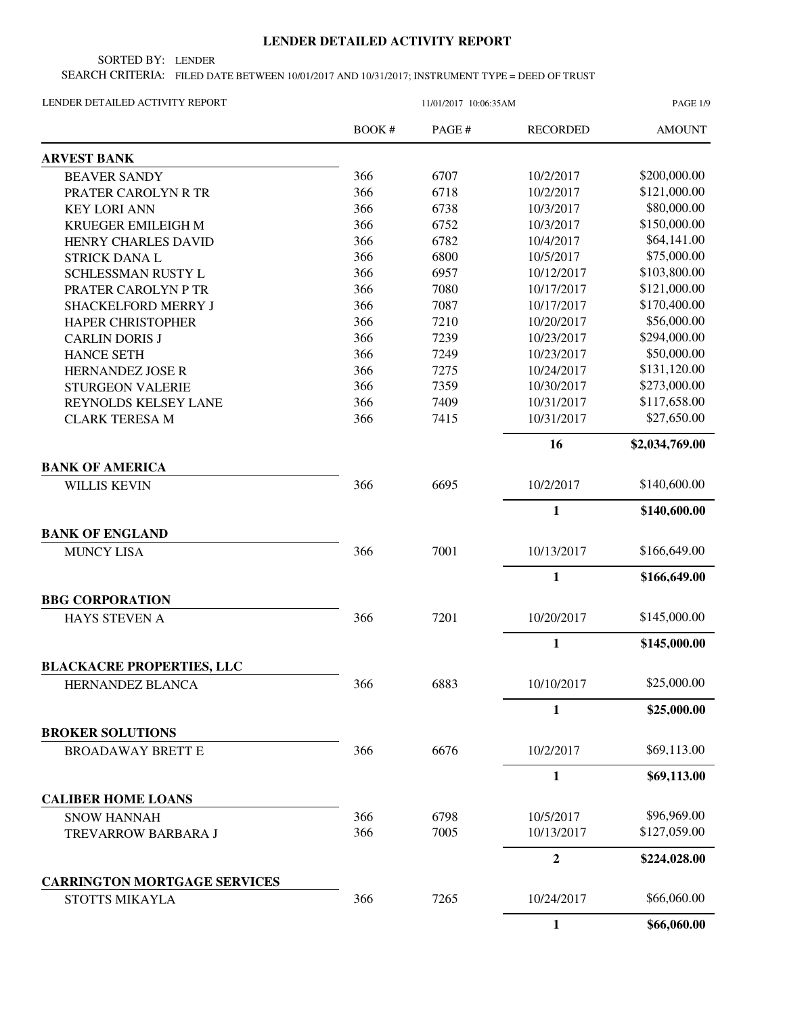## **LENDER DETAILED ACTIVITY REPORT**

SORTED BY: LENDER

SEARCH CRITERIA: FILED DATE BETWEEN 10/01/2017 AND 10/31/2017; INSTRUMENT TYPE = DEED OF TRUST

| LENDER DETAILED ACTIVITY REPORT     |        | <b>PAGE 1/9</b> |                  |                |
|-------------------------------------|--------|-----------------|------------------|----------------|
|                                     | BOOK # | PAGE#           | <b>RECORDED</b>  | <b>AMOUNT</b>  |
| <b>ARVEST BANK</b>                  |        |                 |                  |                |
| <b>BEAVER SANDY</b>                 | 366    | 6707            | 10/2/2017        | \$200,000.00   |
| PRATER CAROLYN R TR                 | 366    | 6718            | 10/2/2017        | \$121,000.00   |
| <b>KEY LORI ANN</b>                 | 366    | 6738            | 10/3/2017        | \$80,000.00    |
| KRUEGER EMILEIGH M                  | 366    | 6752            | 10/3/2017        | \$150,000.00   |
| HENRY CHARLES DAVID                 | 366    | 6782            | 10/4/2017        | \$64,141.00    |
| <b>STRICK DANA L</b>                | 366    | 6800            | 10/5/2017        | \$75,000.00    |
| SCHLESSMAN RUSTY L                  | 366    | 6957            | 10/12/2017       | \$103,800.00   |
| PRATER CAROLYN P TR                 | 366    | 7080            | 10/17/2017       | \$121,000.00   |
| SHACKELFORD MERRY J                 | 366    | 7087            | 10/17/2017       | \$170,400.00   |
| <b>HAPER CHRISTOPHER</b>            | 366    | 7210            | 10/20/2017       | \$56,000.00    |
| <b>CARLIN DORIS J</b>               | 366    | 7239            | 10/23/2017       | \$294,000.00   |
| <b>HANCE SETH</b>                   | 366    | 7249            | 10/23/2017       | \$50,000.00    |
| HERNANDEZ JOSE R                    | 366    | 7275            | 10/24/2017       | \$131,120.00   |
| <b>STURGEON VALERIE</b>             | 366    | 7359            | 10/30/2017       | \$273,000.00   |
| REYNOLDS KELSEY LANE                | 366    | 7409            | 10/31/2017       | \$117,658.00   |
| <b>CLARK TERESA M</b>               | 366    | 7415            | 10/31/2017       | \$27,650.00    |
|                                     |        |                 | 16               | \$2,034,769.00 |
| <b>BANK OF AMERICA</b>              |        |                 |                  |                |
| <b>WILLIS KEVIN</b>                 | 366    | 6695            | 10/2/2017        | \$140,600.00   |
|                                     |        |                 | $\mathbf{1}$     | \$140,600.00   |
| <b>BANK OF ENGLAND</b>              |        |                 |                  |                |
| <b>MUNCY LISA</b>                   | 366    | 7001            | 10/13/2017       | \$166,649.00   |
|                                     |        |                 | $\mathbf{1}$     | \$166,649.00   |
| <b>BBG CORPORATION</b>              |        |                 |                  |                |
| HAYS STEVEN A                       | 366    | 7201            | 10/20/2017       | \$145,000.00   |
|                                     |        |                 | $\mathbf{1}$     | \$145,000.00   |
| <b>BLACKACRE PROPERTIES, LLC</b>    |        |                 |                  |                |
| HERNANDEZ BLANCA                    | 366    | 6883            | 10/10/2017       | \$25,000.00    |
|                                     |        |                 | $\mathbf{1}$     | \$25,000.00    |
| <b>BROKER SOLUTIONS</b>             |        |                 |                  |                |
| <b>BROADAWAY BRETT E</b>            | 366    | 6676            | 10/2/2017        | \$69,113.00    |
|                                     |        |                 | 1                | \$69,113.00    |
| <b>CALIBER HOME LOANS</b>           |        |                 |                  |                |
| <b>SNOW HANNAH</b>                  | 366    | 6798            | 10/5/2017        | \$96,969.00    |
| TREVARROW BARBARA J                 | 366    | 7005            | 10/13/2017       | \$127,059.00   |
|                                     |        |                 | $\boldsymbol{2}$ | \$224,028.00   |
| <b>CARRINGTON MORTGAGE SERVICES</b> |        |                 |                  |                |
| STOTTS MIKAYLA                      | 366    | 7265            | 10/24/2017       | \$66,060.00    |
|                                     |        |                 | $\mathbf{1}$     | \$66,060.00    |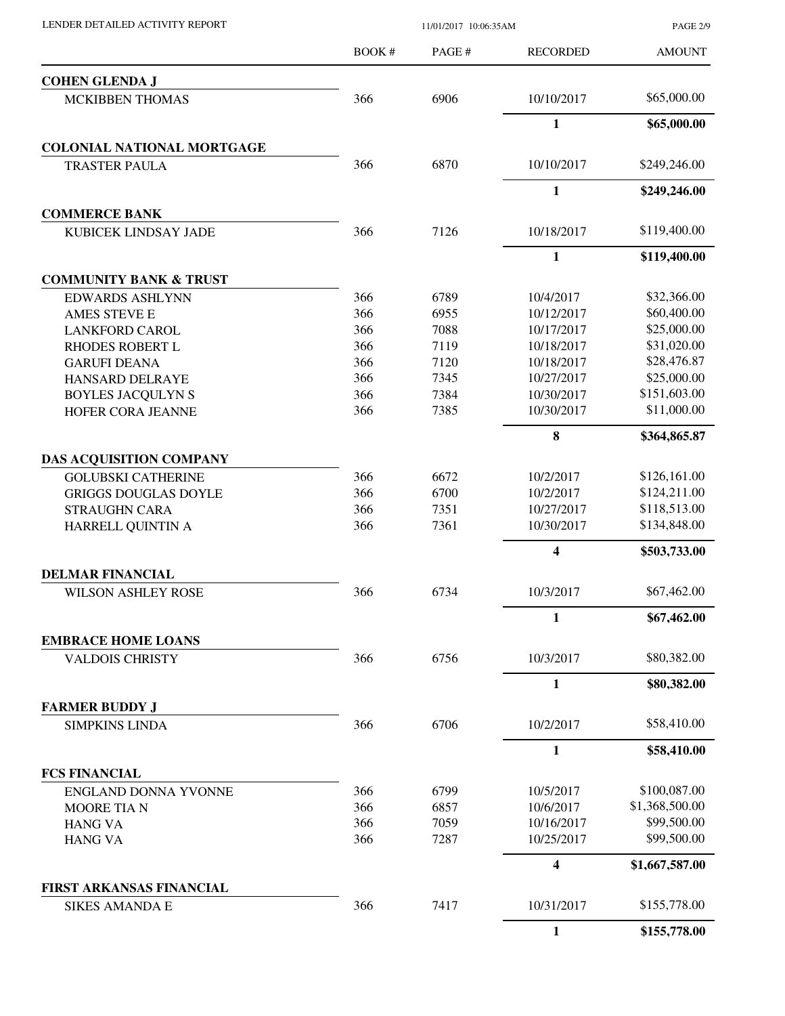| LENDER DETAILED ACTIVITY REPORT |  |
|---------------------------------|--|

PAGE 2/9

|                                   | <b>BOOK#</b> | PAGE# | <b>RECORDED</b> | <b>AMOUNT</b>  |
|-----------------------------------|--------------|-------|-----------------|----------------|
| <b>COHEN GLENDA J</b>             |              |       |                 |                |
| <b>MCKIBBEN THOMAS</b>            | 366          | 6906  | 10/10/2017      | \$65,000.00    |
|                                   |              |       | $\mathbf{1}$    | \$65,000.00    |
| <b>COLONIAL NATIONAL MORTGAGE</b> |              |       |                 |                |
| <b>TRASTER PAULA</b>              | 366          | 6870  | 10/10/2017      | \$249,246.00   |
|                                   |              |       | $\mathbf{1}$    | \$249,246.00   |
| <b>COMMERCE BANK</b>              |              |       |                 |                |
| KUBICEK LINDSAY JADE              | 366          | 7126  | 10/18/2017      | \$119,400.00   |
|                                   |              |       | $\mathbf{1}$    | \$119,400.00   |
| <b>COMMUNITY BANK &amp; TRUST</b> |              |       |                 |                |
| <b>EDWARDS ASHLYNN</b>            | 366          | 6789  | 10/4/2017       | \$32,366.00    |
| <b>AMES STEVE E</b>               | 366          | 6955  | 10/12/2017      | \$60,400.00    |
| <b>LANKFORD CAROL</b>             | 366          | 7088  | 10/17/2017      | \$25,000.00    |
| <b>RHODES ROBERT L</b>            | 366          | 7119  | 10/18/2017      | \$31,020.00    |
| <b>GARUFI DEANA</b>               | 366          | 7120  | 10/18/2017      | \$28,476.87    |
| HANSARD DELRAYE                   | 366          | 7345  | 10/27/2017      | \$25,000.00    |
| <b>BOYLES JACQULYN S</b>          | 366          | 7384  | 10/30/2017      | \$151,603.00   |
| <b>HOFER CORA JEANNE</b>          | 366          | 7385  | 10/30/2017      | \$11,000.00    |
|                                   |              |       | 8               | \$364,865.87   |
| <b>DAS ACQUISITION COMPANY</b>    |              |       |                 |                |
| <b>GOLUBSKI CATHERINE</b>         | 366          | 6672  | 10/2/2017       | \$126,161.00   |
| <b>GRIGGS DOUGLAS DOYLE</b>       | 366          | 6700  | 10/2/2017       | \$124,211.00   |
| <b>STRAUGHN CARA</b>              | 366          | 7351  | 10/27/2017      | \$118,513.00   |
| HARRELL QUINTIN A                 | 366          | 7361  | 10/30/2017      | \$134,848.00   |
|                                   |              |       | 4               | \$503,733.00   |
| <b>DELMAR FINANCIAL</b>           |              |       |                 |                |
| <b>WILSON ASHLEY ROSE</b>         | 366          | 6734  | 10/3/2017       | \$67,462.00    |
|                                   |              |       | $\mathbf{1}$    | \$67,462.00    |
| <b>EMBRACE HOME LOANS</b>         |              |       |                 |                |
| <b>VALDOIS CHRISTY</b>            | 366          | 6756  | 10/3/2017       | \$80,382.00    |
|                                   |              |       | 1               | \$80,382.00    |
| <b>FARMER BUDDY J</b>             |              |       |                 |                |
| <b>SIMPKINS LINDA</b>             | 366          | 6706  | 10/2/2017       | \$58,410.00    |
|                                   |              |       | $\mathbf{1}$    | \$58,410.00    |
| <b>FCS FINANCIAL</b>              |              |       |                 |                |
| ENGLAND DONNA YVONNE              | 366          | 6799  | 10/5/2017       | \$100,087.00   |
| <b>MOORE TIAN</b>                 | 366          | 6857  | 10/6/2017       | \$1,368,500.00 |
| <b>HANG VA</b>                    | 366          | 7059  | 10/16/2017      | \$99,500.00    |
| <b>HANG VA</b>                    | 366          | 7287  | 10/25/2017      | \$99,500.00    |
|                                   |              |       | 4               | \$1,667,587.00 |
| FIRST ARKANSAS FINANCIAL          |              |       |                 |                |
| <b>SIKES AMANDA E</b>             | 366          | 7417  | 10/31/2017      | \$155,778.00   |
|                                   |              |       | $\mathbf{1}$    | \$155,778.00   |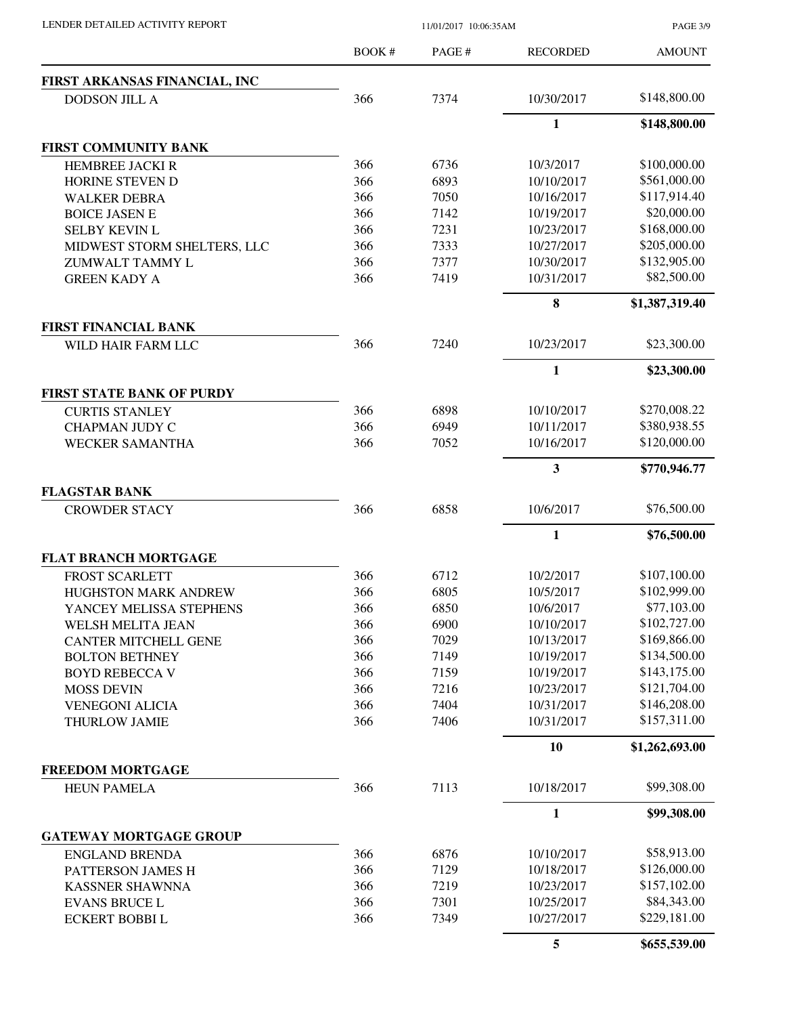PAGE 3/9

|                                  | <b>BOOK#</b> | PAGE # | <b>RECORDED</b> | <b>AMOUNT</b>  |
|----------------------------------|--------------|--------|-----------------|----------------|
| FIRST ARKANSAS FINANCIAL, INC    |              |        |                 |                |
| <b>DODSON JILL A</b>             | 366          | 7374   | 10/30/2017      | \$148,800.00   |
|                                  |              |        | 1               | \$148,800.00   |
| FIRST COMMUNITY BANK             |              |        |                 |                |
| HEMBREE JACKI R                  | 366          | 6736   | 10/3/2017       | \$100,000.00   |
| HORINE STEVEN D                  | 366          | 6893   | 10/10/2017      | \$561,000.00   |
| <b>WALKER DEBRA</b>              | 366          | 7050   | 10/16/2017      | \$117,914.40   |
| <b>BOICE JASEN E</b>             | 366          | 7142   | 10/19/2017      | \$20,000.00    |
| <b>SELBY KEVIN L</b>             | 366          | 7231   | 10/23/2017      | \$168,000.00   |
| MIDWEST STORM SHELTERS, LLC      | 366          | 7333   | 10/27/2017      | \$205,000.00   |
| ZUMWALT TAMMY L                  | 366          | 7377   | 10/30/2017      | \$132,905.00   |
| <b>GREEN KADY A</b>              | 366          | 7419   | 10/31/2017      | \$82,500.00    |
|                                  |              |        | 8               | \$1,387,319.40 |
| <b>FIRST FINANCIAL BANK</b>      |              |        |                 |                |
| WILD HAIR FARM LLC               | 366          | 7240   | 10/23/2017      | \$23,300.00    |
|                                  |              |        | 1               | \$23,300.00    |
| <b>FIRST STATE BANK OF PURDY</b> |              |        |                 |                |
| <b>CURTIS STANLEY</b>            | 366          | 6898   | 10/10/2017      | \$270,008.22   |
| <b>CHAPMAN JUDY C</b>            | 366          | 6949   | 10/11/2017      | \$380,938.55   |
| <b>WECKER SAMANTHA</b>           | 366          | 7052   | 10/16/2017      | \$120,000.00   |
|                                  |              |        | 3               | \$770,946.77   |
| <b>FLAGSTAR BANK</b>             |              |        |                 |                |
| <b>CROWDER STACY</b>             | 366          | 6858   | 10/6/2017       | \$76,500.00    |
|                                  |              |        | 1               | \$76,500.00    |
| <b>FLAT BRANCH MORTGAGE</b>      |              |        |                 |                |
| <b>FROST SCARLETT</b>            | 366          | 6712   | 10/2/2017       | \$107,100.00   |
| HUGHSTON MARK ANDREW             | 366          | 6805   | 10/5/2017       | \$102,999.00   |
| YANCEY MELISSA STEPHENS          | 366          | 6850   | 10/6/2017       | \$77,103.00    |
| WELSH MELITA JEAN                | 366          | 6900   | 10/10/2017      | \$102,727.00   |
| <b>CANTER MITCHELL GENE</b>      | 366          | 7029   | 10/13/2017      | \$169,866.00   |
| <b>BOLTON BETHNEY</b>            | 366          | 7149   | 10/19/2017      | \$134,500.00   |
| <b>BOYD REBECCA V</b>            | 366          | 7159   | 10/19/2017      | \$143,175.00   |
| <b>MOSS DEVIN</b>                | 366          | 7216   | 10/23/2017      | \$121,704.00   |
| <b>VENEGONI ALICIA</b>           | 366          | 7404   | 10/31/2017      | \$146,208.00   |
| THURLOW JAMIE                    | 366          | 7406   | 10/31/2017      | \$157,311.00   |
|                                  |              |        | 10              | \$1,262,693.00 |
| <b>FREEDOM MORTGAGE</b>          |              |        |                 |                |
| <b>HEUN PAMELA</b>               | 366          | 7113   | 10/18/2017      | \$99,308.00    |
|                                  |              |        | $\mathbf{1}$    | \$99,308.00    |
| <b>GATEWAY MORTGAGE GROUP</b>    |              |        |                 |                |
| <b>ENGLAND BRENDA</b>            | 366          | 6876   | 10/10/2017      | \$58,913.00    |
| PATTERSON JAMES H                | 366          | 7129   | 10/18/2017      | \$126,000.00   |
| <b>KASSNER SHAWNNA</b>           | 366          | 7219   | 10/23/2017      | \$157,102.00   |
| <b>EVANS BRUCE L</b>             | 366          | 7301   | 10/25/2017      | \$84,343.00    |
| <b>ECKERT BOBBIL</b>             | 366          | 7349   | 10/27/2017      | \$229,181.00   |
|                                  |              |        | 5               | \$655,539.00   |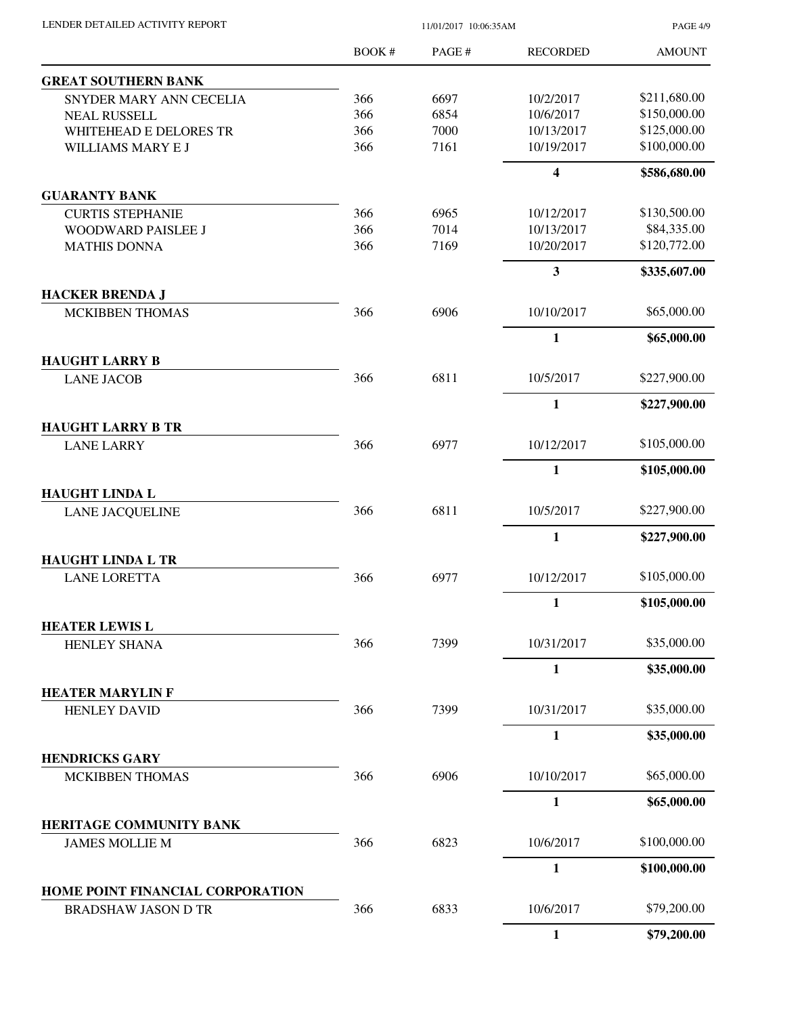| LENDER DETAILED ACTIVITY REPORT |  |
|---------------------------------|--|

PAGE 4/9

|                                                 | <b>BOOK#</b> | PAGE # | <b>RECORDED</b>         | <b>AMOUNT</b> |
|-------------------------------------------------|--------------|--------|-------------------------|---------------|
| <b>GREAT SOUTHERN BANK</b>                      |              |        |                         |               |
| SNYDER MARY ANN CECELIA                         | 366          | 6697   | 10/2/2017               | \$211,680.00  |
| <b>NEAL RUSSELL</b>                             | 366          | 6854   | 10/6/2017               | \$150,000.00  |
| WHITEHEAD E DELORES TR                          | 366          | 7000   | 10/13/2017              | \$125,000.00  |
| WILLIAMS MARY E J                               | 366          | 7161   | 10/19/2017              | \$100,000.00  |
|                                                 |              |        | $\overline{\mathbf{4}}$ | \$586,680.00  |
| <b>GUARANTY BANK</b>                            |              |        |                         |               |
| <b>CURTIS STEPHANIE</b>                         | 366          | 6965   | 10/12/2017              | \$130,500.00  |
| <b>WOODWARD PAISLEE J</b>                       | 366          | 7014   | 10/13/2017              | \$84,335.00   |
| <b>MATHIS DONNA</b>                             | 366          | 7169   | 10/20/2017              | \$120,772.00  |
|                                                 |              |        | 3                       | \$335,607.00  |
| <b>HACKER BRENDA J</b>                          |              |        |                         |               |
| <b>MCKIBBEN THOMAS</b>                          | 366          | 6906   | 10/10/2017              | \$65,000.00   |
|                                                 |              |        | $\mathbf{1}$            | \$65,000.00   |
| <b>HAUGHT LARRY B</b>                           | 366          | 6811   | 10/5/2017               | \$227,900.00  |
| <b>LANE JACOB</b>                               |              |        |                         |               |
|                                                 |              |        | $\mathbf{1}$            | \$227,900.00  |
| <b>HAUGHT LARRY B TR</b><br><b>LANE LARRY</b>   | 366          | 6977   | 10/12/2017              | \$105,000.00  |
|                                                 |              |        |                         |               |
|                                                 |              |        | $\mathbf{1}$            | \$105,000.00  |
| <b>HAUGHT LINDA L</b><br><b>LANE JACQUELINE</b> | 366          | 6811   | 10/5/2017               | \$227,900.00  |
|                                                 |              |        | $\mathbf{1}$            | \$227,900.00  |
| <b>HAUGHT LINDA L TR</b>                        |              |        |                         |               |
| <b>LANE LORETTA</b>                             | 366          | 6977   | 10/12/2017              | \$105,000.00  |
|                                                 |              |        | $\mathbf{1}$            | \$105,000.00  |
| <b>HEATER LEWIS L</b>                           |              |        |                         |               |
| <b>HENLEY SHANA</b>                             | 366          | 7399   | 10/31/2017              | \$35,000.00   |
|                                                 |              |        | $\mathbf{1}$            | \$35,000.00   |
| <b>HEATER MARYLIN F</b>                         |              |        |                         |               |
| <b>HENLEY DAVID</b>                             | 366          | 7399   | 10/31/2017              | \$35,000.00   |
|                                                 |              |        | $\mathbf{1}$            | \$35,000.00   |
| <b>HENDRICKS GARY</b>                           |              |        |                         |               |
| MCKIBBEN THOMAS                                 | 366          | 6906   | 10/10/2017              | \$65,000.00   |
|                                                 |              |        | $\mathbf{1}$            | \$65,000.00   |
| <b>HERITAGE COMMUNITY BANK</b>                  |              |        |                         |               |
| <b>JAMES MOLLIE M</b>                           | 366          | 6823   | 10/6/2017               | \$100,000.00  |
|                                                 |              |        | $\mathbf{1}$            | \$100,000.00  |
| HOME POINT FINANCIAL CORPORATION                |              |        |                         |               |
| <b>BRADSHAW JASON D TR</b>                      | 366          | 6833   | 10/6/2017               | \$79,200.00   |
|                                                 |              |        | $\mathbf{1}$            | \$79,200.00   |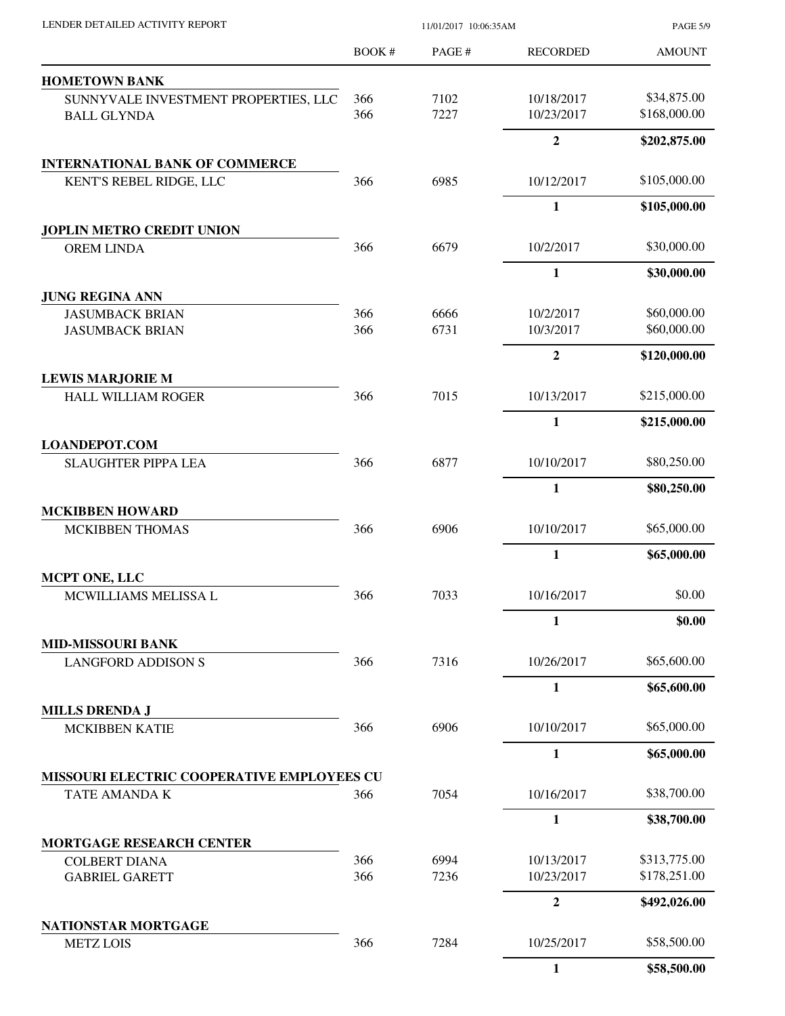| LENDER DETAILED ACTIVITY REPORT                             | 11/01/2017 10:06:35AM |        |                 | <b>PAGE 5/9</b> |  |
|-------------------------------------------------------------|-----------------------|--------|-----------------|-----------------|--|
|                                                             | BOOK #                | PAGE # | <b>RECORDED</b> | <b>AMOUNT</b>   |  |
| <b>HOMETOWN BANK</b>                                        |                       |        |                 |                 |  |
| SUNNYVALE INVESTMENT PROPERTIES, LLC                        | 366                   | 7102   | 10/18/2017      | \$34,875.00     |  |
| <b>BALL GLYNDA</b>                                          | 366                   | 7227   | 10/23/2017      | \$168,000.00    |  |
|                                                             |                       |        | $\overline{2}$  | \$202,875.00    |  |
| <b>INTERNATIONAL BANK OF COMMERCE</b>                       |                       |        |                 |                 |  |
| KENT'S REBEL RIDGE, LLC                                     | 366                   | 6985   | 10/12/2017      | \$105,000.00    |  |
|                                                             |                       |        | $\mathbf{1}$    | \$105,000.00    |  |
| <b>JOPLIN METRO CREDIT UNION</b>                            |                       |        |                 |                 |  |
| <b>OREM LINDA</b>                                           | 366                   | 6679   | 10/2/2017       | \$30,000.00     |  |
| <b>JUNG REGINA ANN</b>                                      |                       |        | 1               | \$30,000.00     |  |
| <b>JASUMBACK BRIAN</b>                                      | 366                   | 6666   | 10/2/2017       | \$60,000.00     |  |
| <b>JASUMBACK BRIAN</b>                                      | 366                   | 6731   | 10/3/2017       | \$60,000.00     |  |
|                                                             |                       |        | $\overline{2}$  | \$120,000.00    |  |
| <b>LEWIS MARJORIE M</b>                                     |                       |        |                 | \$215,000.00    |  |
| <b>HALL WILLIAM ROGER</b>                                   | 366                   | 7015   | 10/13/2017      |                 |  |
| <b>LOANDEPOT.COM</b>                                        |                       |        | $\mathbf{1}$    | \$215,000.00    |  |
| <b>SLAUGHTER PIPPA LEA</b>                                  | 366                   | 6877   | 10/10/2017      | \$80,250.00     |  |
|                                                             |                       |        | $\mathbf{1}$    | \$80,250.00     |  |
|                                                             |                       |        |                 |                 |  |
| <b>MCKIBBEN HOWARD</b>                                      |                       |        |                 |                 |  |
| <b>MCKIBBEN THOMAS</b>                                      | 366                   | 6906   | 10/10/2017      | \$65,000.00     |  |
| <b>MCPT ONE, LLC</b>                                        |                       |        | $\mathbf{1}$    | \$65,000.00     |  |
| MCWILLIAMS MELISSA L                                        | 366                   | 7033   | 10/16/2017      | \$0.00          |  |
|                                                             |                       |        | 1               | \$0.00          |  |
| <b>MID-MISSOURI BANK</b>                                    |                       |        |                 |                 |  |
| <b>LANGFORD ADDISON S</b>                                   | 366                   | 7316   | 10/26/2017      | \$65,600.00     |  |
|                                                             |                       |        | 1               | \$65,600.00     |  |
| <b>MILLS DRENDA J</b>                                       |                       |        |                 |                 |  |
| <b>MCKIBBEN KATIE</b>                                       | 366                   | 6906   | 10/10/2017      | \$65,000.00     |  |
|                                                             |                       |        | $\mathbf{1}$    | \$65,000.00     |  |
| MISSOURI ELECTRIC COOPERATIVE EMPLOYEES CU<br>TATE AMANDA K | 366                   | 7054   | 10/16/2017      | \$38,700.00     |  |
|                                                             |                       |        | $\mathbf{1}$    | \$38,700.00     |  |
| <b>MORTGAGE RESEARCH CENTER</b>                             |                       |        |                 |                 |  |
| <b>COLBERT DIANA</b>                                        | 366                   | 6994   | 10/13/2017      | \$313,775.00    |  |
| <b>GABRIEL GARETT</b>                                       | 366                   | 7236   | 10/23/2017      | \$178,251.00    |  |
|                                                             |                       |        | $\overline{2}$  | \$492,026.00    |  |
| NATIONSTAR MORTGAGE                                         |                       |        |                 |                 |  |
| <b>METZ LOIS</b>                                            | 366                   | 7284   | 10/25/2017      | \$58,500.00     |  |
|                                                             |                       |        | $\mathbf{1}$    | \$58,500.00     |  |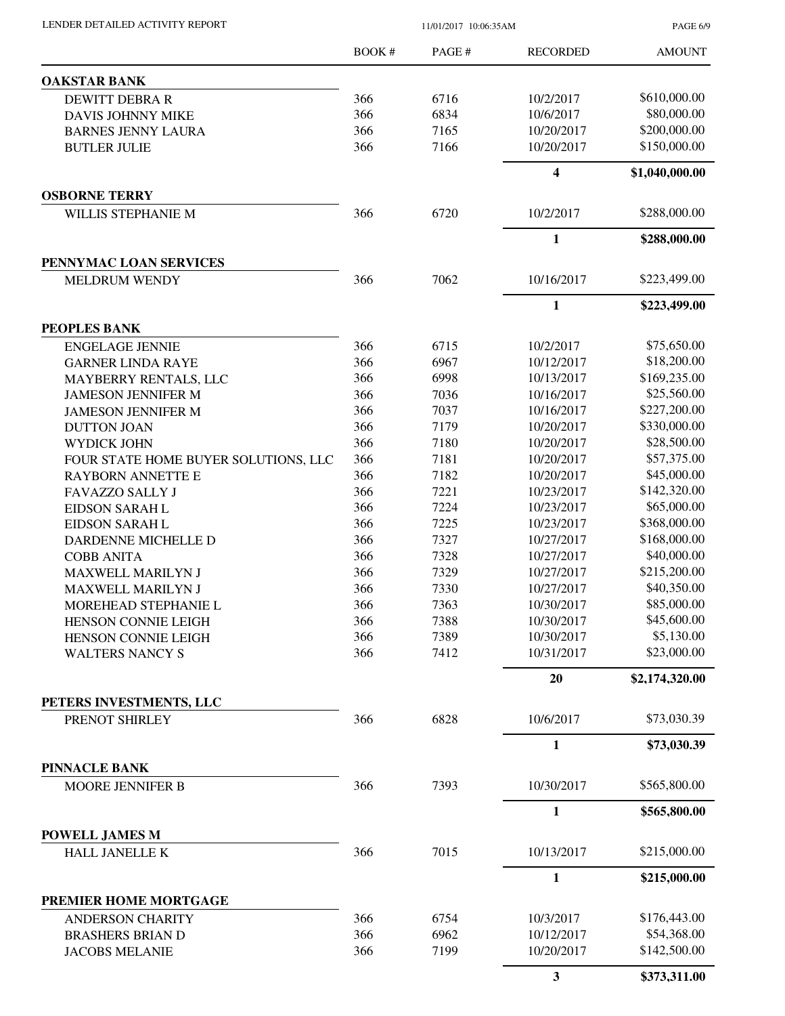PAGE 6/9

|                                                  | <b>BOOK#</b> | PAGE# | <b>RECORDED</b> | <b>AMOUNT</b>  |
|--------------------------------------------------|--------------|-------|-----------------|----------------|
| <b>OAKSTAR BANK</b>                              |              |       |                 |                |
| <b>DEWITT DEBRA R</b>                            | 366          | 6716  | 10/2/2017       | \$610,000.00   |
| DAVIS JOHNNY MIKE                                | 366          | 6834  | 10/6/2017       | \$80,000.00    |
| <b>BARNES JENNY LAURA</b>                        | 366          | 7165  | 10/20/2017      | \$200,000.00   |
| <b>BUTLER JULIE</b>                              | 366          | 7166  | 10/20/2017      | \$150,000.00   |
|                                                  |              |       | 4               | \$1,040,000.00 |
| <b>OSBORNE TERRY</b>                             |              |       |                 |                |
| WILLIS STEPHANIE M                               | 366          | 6720  | 10/2/2017       | \$288,000.00   |
|                                                  |              |       | 1               | \$288,000.00   |
| PENNYMAC LOAN SERVICES                           |              |       |                 |                |
| <b>MELDRUM WENDY</b>                             | 366          | 7062  | 10/16/2017      | \$223,499.00   |
|                                                  |              |       | $\mathbf{1}$    | \$223,499.00   |
| PEOPLES BANK<br><b>ENGELAGE JENNIE</b>           | 366          | 6715  | 10/2/2017       | \$75,650.00    |
| <b>GARNER LINDA RAYE</b>                         | 366          | 6967  | 10/12/2017      | \$18,200.00    |
| MAYBERRY RENTALS, LLC                            | 366          | 6998  | 10/13/2017      | \$169,235.00   |
| <b>JAMESON JENNIFER M</b>                        | 366          | 7036  | 10/16/2017      | \$25,560.00    |
| <b>JAMESON JENNIFER M</b>                        | 366          | 7037  | 10/16/2017      | \$227,200.00   |
| <b>DUTTON JOAN</b>                               | 366          | 7179  | 10/20/2017      | \$330,000.00   |
| WYDICK JOHN                                      | 366          | 7180  | 10/20/2017      | \$28,500.00    |
| FOUR STATE HOME BUYER SOLUTIONS, LLC             | 366          | 7181  | 10/20/2017      | \$57,375.00    |
| <b>RAYBORN ANNETTE E</b>                         | 366          | 7182  | 10/20/2017      | \$45,000.00    |
| FAVAZZO SALLY J                                  | 366          | 7221  | 10/23/2017      | \$142,320.00   |
|                                                  | 366          |       | 10/23/2017      | \$65,000.00    |
| EIDSON SARAH L                                   |              | 7224  |                 |                |
| EIDSON SARAH L                                   | 366          | 7225  | 10/23/2017      | \$368,000.00   |
| DARDENNE MICHELLE D                              | 366          | 7327  | 10/27/2017      | \$168,000.00   |
| <b>COBB ANITA</b>                                | 366          | 7328  | 10/27/2017      | \$40,000.00    |
| MAXWELL MARILYN J                                | 366          | 7329  | 10/27/2017      | \$215,200.00   |
| MAXWELL MARILYN J                                | 366          | 7330  | 10/27/2017      | \$40,350.00    |
| MOREHEAD STEPHANIE L                             | 366          | 7363  | 10/30/2017      | \$85,000.00    |
| HENSON CONNIE LEIGH                              | 366          | 7388  | 10/30/2017      | \$45,600.00    |
| HENSON CONNIE LEIGH                              | 366          | 7389  | 10/30/2017      | \$5,130.00     |
| <b>WALTERS NANCY S</b>                           | 366          | 7412  | 10/31/2017      | \$23,000.00    |
|                                                  |              |       | <b>20</b>       | \$2,174,320.00 |
| PETERS INVESTMENTS, LLC<br>PRENOT SHIRLEY        | 366          | 6828  | 10/6/2017       | \$73,030.39    |
|                                                  |              |       | 1               | \$73,030.39    |
| PINNACLE BANK                                    |              |       |                 |                |
| MOORE JENNIFER B                                 | 366          | 7393  | 10/30/2017      | \$565,800.00   |
|                                                  |              |       | $\mathbf{1}$    | \$565,800.00   |
| POWELL JAMES M                                   |              |       |                 |                |
| HALL JANELLE K                                   | 366          | 7015  | 10/13/2017      | \$215,000.00   |
|                                                  |              |       | 1               | \$215,000.00   |
| PREMIER HOME MORTGAGE<br><b>ANDERSON CHARITY</b> | 366          | 6754  | 10/3/2017       | \$176,443.00   |
| <b>BRASHERS BRIAN D</b>                          | 366          | 6962  | 10/12/2017      | \$54,368.00    |
| <b>JACOBS MELANIE</b>                            | 366          | 7199  | 10/20/2017      | \$142,500.00   |
|                                                  |              |       |                 |                |
|                                                  |              |       | 3               | \$373,311.00   |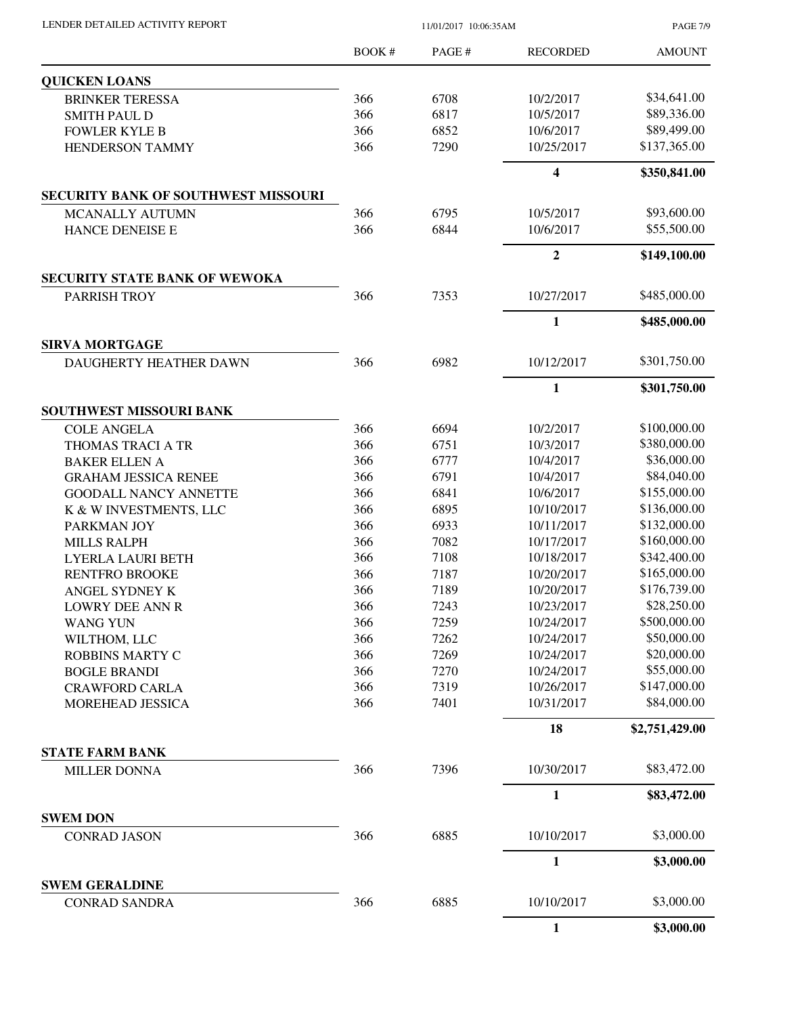| LENDER DETAILED ACTIVITY REPORT |  |
|---------------------------------|--|
|                                 |  |

PAGE 7/9

|                                               | BOOK # | PAGE # | <b>RECORDED</b>         | <b>AMOUNT</b>  |
|-----------------------------------------------|--------|--------|-------------------------|----------------|
| <b>QUICKEN LOANS</b>                          |        |        |                         |                |
| <b>BRINKER TERESSA</b>                        | 366    | 6708   | 10/2/2017               | \$34,641.00    |
| <b>SMITH PAUL D</b>                           | 366    | 6817   | 10/5/2017               | \$89,336.00    |
| <b>FOWLER KYLE B</b>                          | 366    | 6852   | 10/6/2017               | \$89,499.00    |
| HENDERSON TAMMY                               | 366    | 7290   | 10/25/2017              | \$137,365.00   |
|                                               |        |        | $\overline{\mathbf{4}}$ | \$350,841.00   |
| <b>SECURITY BANK OF SOUTHWEST MISSOURI</b>    |        |        |                         |                |
| <b>MCANALLY AUTUMN</b>                        | 366    | 6795   | 10/5/2017               | \$93,600.00    |
| HANCE DENEISE E                               | 366    | 6844   | 10/6/2017               | \$55,500.00    |
|                                               |        |        | $\overline{2}$          | \$149,100.00   |
| <b>SECURITY STATE BANK OF WEWOKA</b>          |        |        |                         |                |
| PARRISH TROY                                  | 366    | 7353   | 10/27/2017              | \$485,000.00   |
|                                               |        |        | $\mathbf{1}$            | \$485,000.00   |
| <b>SIRVA MORTGAGE</b>                         |        |        |                         |                |
| DAUGHERTY HEATHER DAWN                        | 366    | 6982   | 10/12/2017              | \$301,750.00   |
|                                               |        |        | $\mathbf{1}$            | \$301,750.00   |
| SOUTHWEST MISSOURI BANK                       |        |        |                         |                |
| <b>COLE ANGELA</b>                            | 366    | 6694   | 10/2/2017               | \$100,000.00   |
| THOMAS TRACI A TR                             | 366    | 6751   | 10/3/2017               | \$380,000.00   |
| <b>BAKER ELLEN A</b>                          | 366    | 6777   | 10/4/2017               | \$36,000.00    |
| <b>GRAHAM JESSICA RENEE</b>                   | 366    | 6791   | 10/4/2017               | \$84,040.00    |
| <b>GOODALL NANCY ANNETTE</b>                  | 366    | 6841   | 10/6/2017               | \$155,000.00   |
| K & W INVESTMENTS, LLC                        | 366    | 6895   | 10/10/2017              | \$136,000.00   |
| PARKMAN JOY                                   | 366    | 6933   | 10/11/2017              | \$132,000.00   |
| <b>MILLS RALPH</b>                            | 366    | 7082   | 10/17/2017              | \$160,000.00   |
| LYERLA LAURI BETH                             | 366    | 7108   | 10/18/2017              | \$342,400.00   |
| <b>RENTFRO BROOKE</b>                         | 366    | 7187   | 10/20/2017              | \$165,000.00   |
| ANGEL SYDNEY K                                | 366    | 7189   | 10/20/2017              | \$176,739.00   |
| LOWRY DEE ANN R                               | 366    | 7243   | 10/23/2017              | \$28,250.00    |
| <b>WANG YUN</b>                               | 366    | 7259   | 10/24/2017              | \$500,000.00   |
| WILTHOM, LLC                                  | 366    | 7262   | 10/24/2017              | \$50,000.00    |
| ROBBINS MARTY C                               | 366    | 7269   | 10/24/2017              | \$20,000.00    |
| <b>BOGLE BRANDI</b>                           | 366    | 7270   | 10/24/2017              | \$55,000.00    |
| <b>CRAWFORD CARLA</b>                         | 366    | 7319   | 10/26/2017              | \$147,000.00   |
| MOREHEAD JESSICA                              | 366    | 7401   | 10/31/2017              | \$84,000.00    |
|                                               |        |        | 18                      | \$2,751,429.00 |
| <b>STATE FARM BANK</b><br><b>MILLER DONNA</b> | 366    | 7396   | 10/30/2017              | \$83,472.00    |
|                                               |        |        |                         |                |
| <b>SWEM DON</b>                               |        |        | $\mathbf{1}$            | \$83,472.00    |
| <b>CONRAD JASON</b>                           | 366    | 6885   | 10/10/2017              | \$3,000.00     |
|                                               |        |        | 1                       | \$3,000.00     |
| <b>SWEM GERALDINE</b>                         |        |        |                         |                |
| <b>CONRAD SANDRA</b>                          | 366    | 6885   | 10/10/2017              | \$3,000.00     |
|                                               |        |        | 1                       | \$3,000.00     |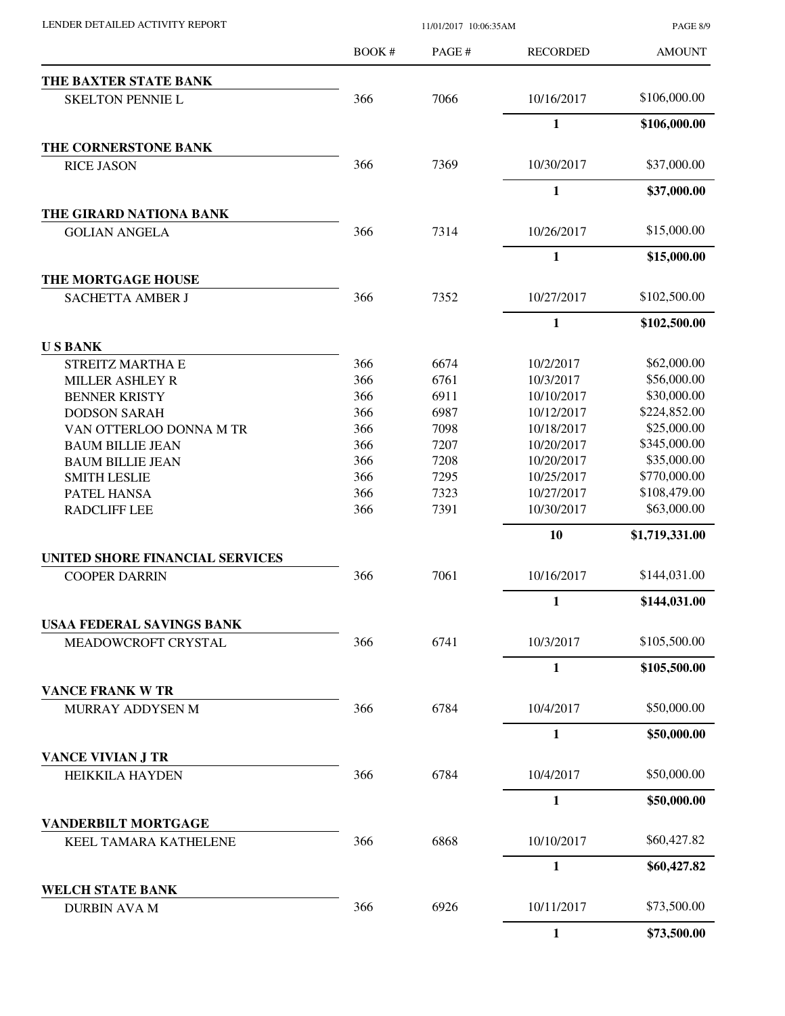| LENDER DETAILED ACTIVITY REPORT |  |
|---------------------------------|--|

PAGE 8/9

|                                                | $B$ OOK # | PAGE# | <b>RECORDED</b> | <b>AMOUNT</b>  |
|------------------------------------------------|-----------|-------|-----------------|----------------|
| THE BAXTER STATE BANK                          |           |       |                 |                |
| <b>SKELTON PENNIE L</b>                        | 366       | 7066  | 10/16/2017      | \$106,000.00   |
|                                                |           |       | $\mathbf{1}$    | \$106,000.00   |
| THE CORNERSTONE BANK                           |           |       |                 |                |
| <b>RICE JASON</b>                              | 366       | 7369  | 10/30/2017      | \$37,000.00    |
|                                                |           |       | $\mathbf{1}$    | \$37,000.00    |
| THE GIRARD NATIONA BANK                        |           |       |                 |                |
| <b>GOLIAN ANGELA</b>                           | 366       | 7314  | 10/26/2017      | \$15,000.00    |
|                                                |           |       | 1               | \$15,000.00    |
| THE MORTGAGE HOUSE                             |           |       |                 |                |
| <b>SACHETTA AMBER J</b>                        | 366       | 7352  | 10/27/2017      | \$102,500.00   |
|                                                |           |       | $\mathbf{1}$    | \$102,500.00   |
| <b>USBANK</b>                                  |           |       |                 |                |
| STREITZ MARTHA E                               | 366       | 6674  | 10/2/2017       | \$62,000.00    |
| <b>MILLER ASHLEY R</b>                         | 366       | 6761  | 10/3/2017       | \$56,000.00    |
| <b>BENNER KRISTY</b>                           | 366       | 6911  | 10/10/2017      | \$30,000.00    |
| <b>DODSON SARAH</b>                            | 366       | 6987  | 10/12/2017      | \$224,852.00   |
| VAN OTTERLOO DONNA M TR                        | 366       | 7098  | 10/18/2017      | \$25,000.00    |
| <b>BAUM BILLIE JEAN</b>                        | 366       | 7207  | 10/20/2017      | \$345,000.00   |
| <b>BAUM BILLIE JEAN</b>                        | 366       | 7208  | 10/20/2017      | \$35,000.00    |
| <b>SMITH LESLIE</b>                            | 366       | 7295  | 10/25/2017      | \$770,000.00   |
| PATEL HANSA                                    | 366       | 7323  | 10/27/2017      | \$108,479.00   |
| <b>RADCLIFF LEE</b>                            | 366       | 7391  | 10/30/2017      | \$63,000.00    |
|                                                |           |       | 10              | \$1,719,331.00 |
| <b>UNITED SHORE FINANCIAL SERVICES</b>         |           |       |                 |                |
| <b>COOPER DARRIN</b>                           | 366       | 7061  | 10/16/2017      | \$144,031.00   |
|                                                |           |       | 1               | \$144,031.00   |
| <b>USAA FEDERAL SAVINGS BANK</b>               |           |       |                 | \$105,500.00   |
| MEADOWCROFT CRYSTAL                            | 366       | 6741  | 10/3/2017       |                |
|                                                |           |       | $\mathbf{1}$    | \$105,500.00   |
| <b>VANCE FRANK W TR</b><br>MURRAY ADDYSEN M    | 366       | 6784  | 10/4/2017       | \$50,000.00    |
|                                                |           |       | 1               | \$50,000.00    |
| VANCE VIVIAN J TR                              |           |       |                 |                |
| <b>HEIKKILA HAYDEN</b>                         | 366       | 6784  | 10/4/2017       | \$50,000.00    |
|                                                |           |       | $\mathbf{1}$    | \$50,000.00    |
| <b>VANDERBILT MORTGAGE</b>                     |           |       |                 |                |
| KEEL TAMARA KATHELENE                          | 366       | 6868  | 10/10/2017      | \$60,427.82    |
|                                                |           |       | $\mathbf{1}$    | \$60,427.82    |
| <b>WELCH STATE BANK</b><br><b>DURBIN AVA M</b> | 366       | 6926  | 10/11/2017      | \$73,500.00    |
|                                                |           |       | $\mathbf{1}$    | \$73,500.00    |
|                                                |           |       |                 |                |